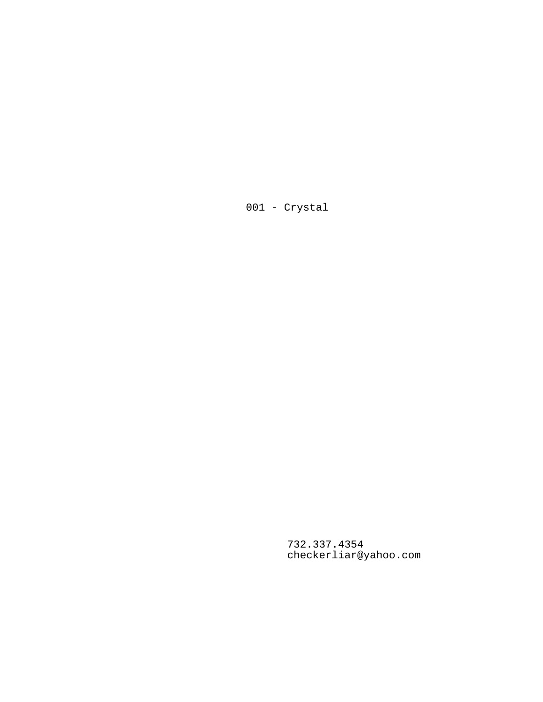001 - Crystal

732.337.4354 checkerliar@yahoo.com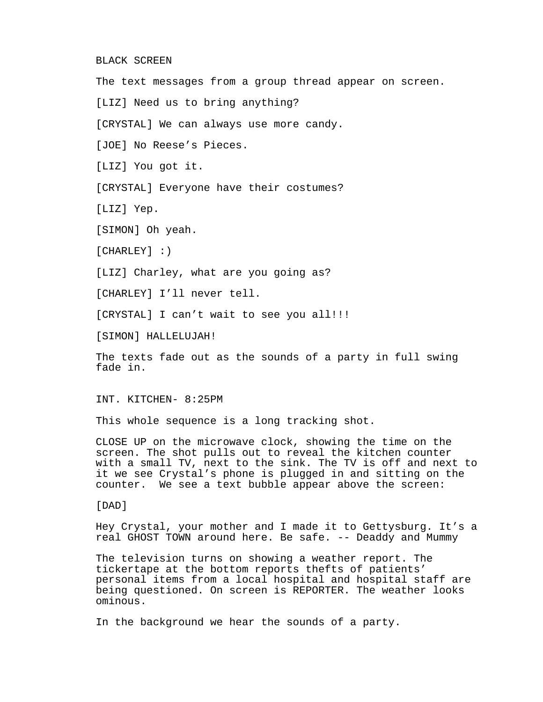#### BLACK SCREEN

The text messages from a group thread appear on screen. [LIZ] Need us to bring anything? [CRYSTAL] We can always use more candy. [JOE] No Reese's Pieces. [LIZ] You got it. [CRYSTAL] Everyone have their costumes? [LIZ] Yep. [SIMON] Oh yeah. [CHARLEY] : ) [LIZ] Charley, what are you going as? [CHARLEY] I'll never tell.

[CRYSTAL] I can't wait to see you all!!!

[SIMON] HALLELUJAH!

The texts fade out as the sounds of a party in full swing fade in.

INT. KITCHEN- 8:25PM

This whole sequence is a long tracking shot.

CLOSE UP on the microwave clock, showing the time on the screen. The shot pulls out to reveal the kitchen counter with a small TV, next to the sink. The TV is off and next to it we see Crystal's phone is plugged in and sitting on the counter. We see a text bubble appear above the screen:

[DAD]

Hey Crystal, your mother and I made it to Gettysburg. It's a real GHOST TOWN around here. Be safe. -- Deaddy and Mummy

The television turns on showing a weather report. The tickertape at the bottom reports thefts of patients' personal items from a local hospital and hospital staff are being questioned. On screen is REPORTER. The weather looks ominous.

In the background we hear the sounds of a party.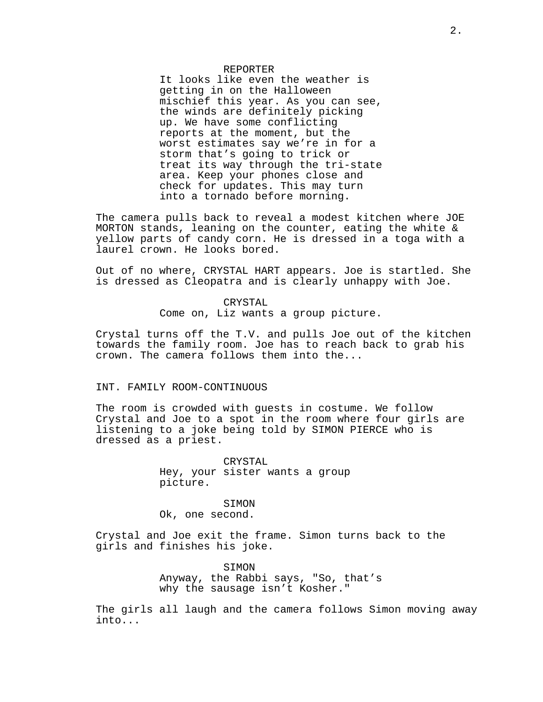### REPORTER

It looks like even the weather is getting in on the Halloween mischief this year. As you can see, the winds are definitely picking up. We have some conflicting reports at the moment, but the worst estimates say we're in for a storm that's going to trick or treat its way through the tri-state area. Keep your phones close and check for updates. This may turn into a tornado before morning.

The camera pulls back to reveal a modest kitchen where JOE MORTON stands, leaning on the counter, eating the white & yellow parts of candy corn. He is dressed in a toga with a laurel crown. He looks bored.

Out of no where, CRYSTAL HART appears. Joe is startled. She is dressed as Cleopatra and is clearly unhappy with Joe.

# CRYSTAL

Come on, Liz wants a group picture.

Crystal turns off the T.V. and pulls Joe out of the kitchen towards the family room. Joe has to reach back to grab his crown. The camera follows them into the...

## INT. FAMILY ROOM-CONTINUOUS

The room is crowded with guests in costume. We follow Crystal and Joe to a spot in the room where four girls are listening to a joke being told by SIMON PIERCE who is dressed as a priest.

> CRYSTAL Hey, your sister wants a group picture.

SIMON Ok, one second.

Crystal and Joe exit the frame. Simon turns back to the girls and finishes his joke.

> SIMON Anyway, the Rabbi says, "So, that's why the sausage isn't Kosher."

The girls all laugh and the camera follows Simon moving away into...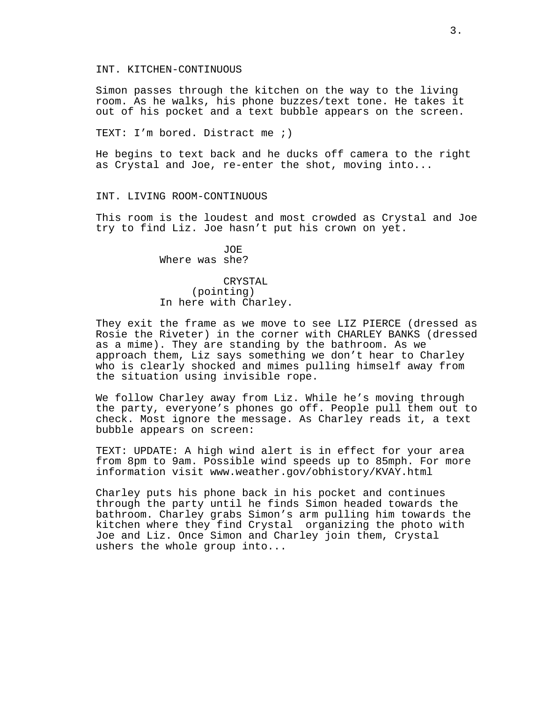## INT. KITCHEN-CONTINUOUS

Simon passes through the kitchen on the way to the living room. As he walks, his phone buzzes/text tone. He takes it out of his pocket and a text bubble appears on the screen.

TEXT: I'm bored. Distract me ;)

He begins to text back and he ducks off camera to the right as Crystal and Joe, re-enter the shot, moving into...

### INT. LIVING ROOM-CONTINUOUS

This room is the loudest and most crowded as Crystal and Joe try to find Liz. Joe hasn't put his crown on yet.

> JOE Where was she?

# CRYSTAL (pointing) In here with Charley.

They exit the frame as we move to see LIZ PIERCE (dressed as Rosie the Riveter) in the corner with CHARLEY BANKS (dressed as a mime). They are standing by the bathroom. As we approach them, Liz says something we don't hear to Charley who is clearly shocked and mimes pulling himself away from the situation using invisible rope.

We follow Charley away from Liz. While he's moving through the party, everyone's phones go off. People pull them out to check. Most ignore the message. As Charley reads it, a text bubble appears on screen:

TEXT: UPDATE: A high wind alert is in effect for your area from 8pm to 9am. Possible wind speeds up to 85mph. For more information visit www.weather.gov/obhistory/KVAY.html

Charley puts his phone back in his pocket and continues through the party until he finds Simon headed towards the bathroom. Charley grabs Simon's arm pulling him towards the kitchen where they find Crystal organizing the photo with Joe and Liz. Once Simon and Charley join them, Crystal ushers the whole group into...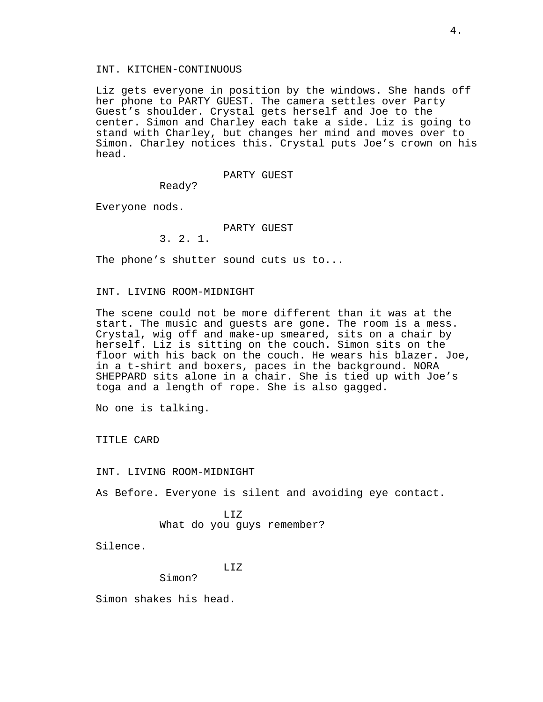## INT. KITCHEN-CONTINUOUS

Liz gets everyone in position by the windows. She hands off her phone to PARTY GUEST. The camera settles over Party Guest's shoulder. Crystal gets herself and Joe to the center. Simon and Charley each take a side. Liz is going to stand with Charley, but changes her mind and moves over to Simon. Charley notices this. Crystal puts Joe's crown on his head.

### PARTY GUEST

Ready?

Everyone nods.

PARTY GUEST

3. 2. 1.

The phone's shutter sound cuts us to...

## INT. LIVING ROOM-MIDNIGHT

The scene could not be more different than it was at the start. The music and guests are gone. The room is a mess. Crystal, wig off and make-up smeared, sits on a chair by herself. Liz is sitting on the couch. Simon sits on the floor with his back on the couch. He wears his blazer. Joe, in a t-shirt and boxers, paces in the background. NORA SHEPPARD sits alone in a chair. She is tied up with Joe's toga and a length of rope. She is also gagged.

No one is talking.

TITLE CARD

INT. LIVING ROOM-MIDNIGHT

As Before. Everyone is silent and avoiding eye contact.

LIZ What do you guys remember?

Silence.

LIZ

Simon?

Simon shakes his head.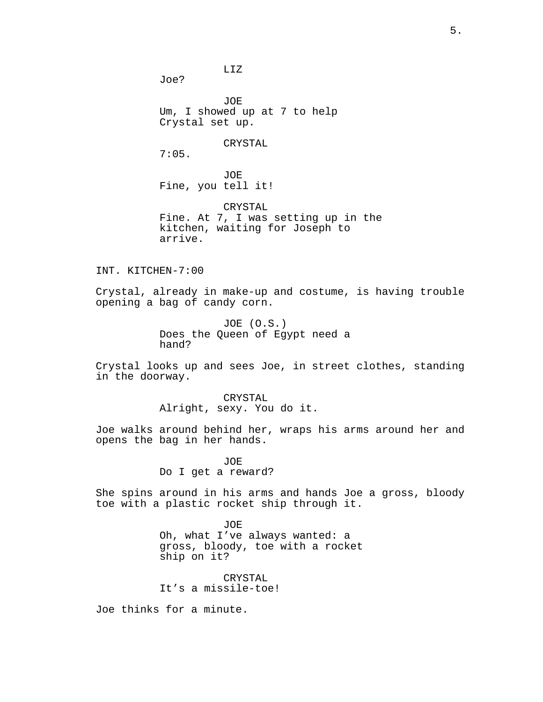Joe?

JOE Um, I showed up at 7 to help Crystal set up.

LIZ

# CRYSTAL

7:05.

JOE Fine, you tell it!

CRYSTAL Fine. At 7, I was setting up in the kitchen, waiting for Joseph to arrive.

INT. KITCHEN-7:00

Crystal, already in make-up and costume, is having trouble opening a bag of candy corn.

> JOE (O.S.) Does the Queen of Egypt need a hand?

Crystal looks up and sees Joe, in street clothes, standing in the doorway.

> CRYSTAL Alright, sexy. You do it.

Joe walks around behind her, wraps his arms around her and opens the bag in her hands.

> JOE Do I get a reward?

She spins around in his arms and hands Joe a gross, bloody toe with a plastic rocket ship through it.

> JOE Oh, what I've always wanted: a gross, bloody, toe with a rocket ship on it?

CRYSTAL It's a missile-toe!

Joe thinks for a minute.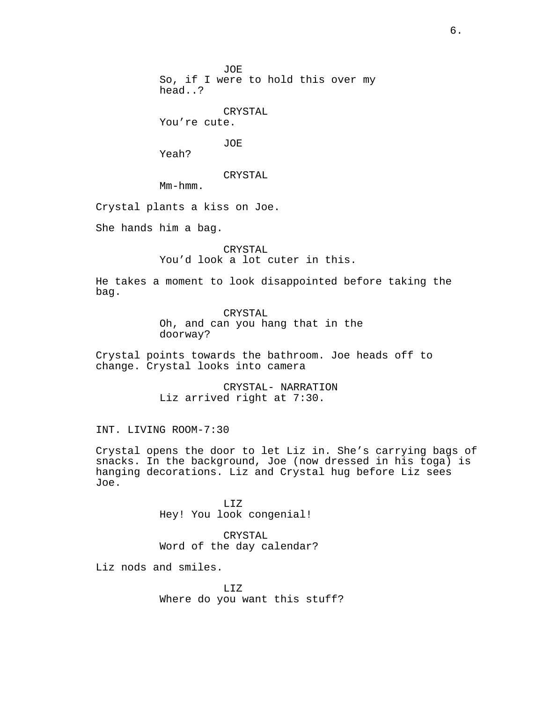JOE

So, if I were to hold this over my head..?

CRYSTAL

You're cute.

JOE

Yeah?

CRYSTAL

Mm-hmm.

Crystal plants a kiss on Joe.

She hands him a bag.

CRYSTAL You'd look a lot cuter in this.

He takes a moment to look disappointed before taking the bag.

> CRYSTAL Oh, and can you hang that in the doorway?

Crystal points towards the bathroom. Joe heads off to change. Crystal looks into camera

> CRYSTAL- NARRATION Liz arrived right at 7:30.

INT. LIVING ROOM-7:30

Crystal opens the door to let Liz in. She's carrying bags of snacks. In the background, Joe (now dressed in his toga) is hanging decorations. Liz and Crystal hug before Liz sees Joe.

> LIZ Hey! You look congenial!

CRYSTAL Word of the day calendar?

Liz nods and smiles.

LIZ Where do you want this stuff?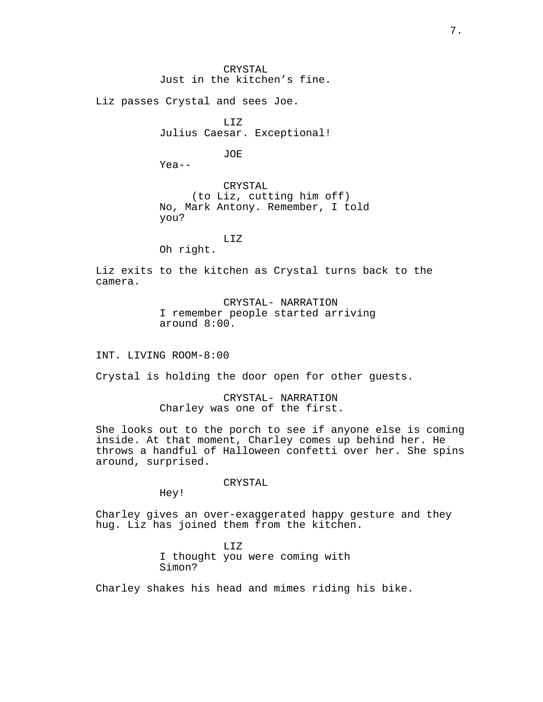CRYSTAL Just in the kitchen's fine.

Liz passes Crystal and sees Joe.

LIZ Julius Caesar. Exceptional!

JOE

Yea--

CRYSTAL (to Liz, cutting him off) No, Mark Antony. Remember, I told you?

LIZ

Oh right.

Liz exits to the kitchen as Crystal turns back to the camera.

> CRYSTAL- NARRATION I remember people started arriving around 8:00.

INT. LIVING ROOM-8:00

Crystal is holding the door open for other guests.

CRYSTAL- NARRATION Charley was one of the first.

She looks out to the porch to see if anyone else is coming inside. At that moment, Charley comes up behind her. He throws a handful of Halloween confetti over her. She spins around, surprised.

CRYSTAL

Hey!

Charley gives an over-exaggerated happy gesture and they hug. Liz has joined them from the kitchen.

> LIZ I thought you were coming with Simon?

Charley shakes his head and mimes riding his bike.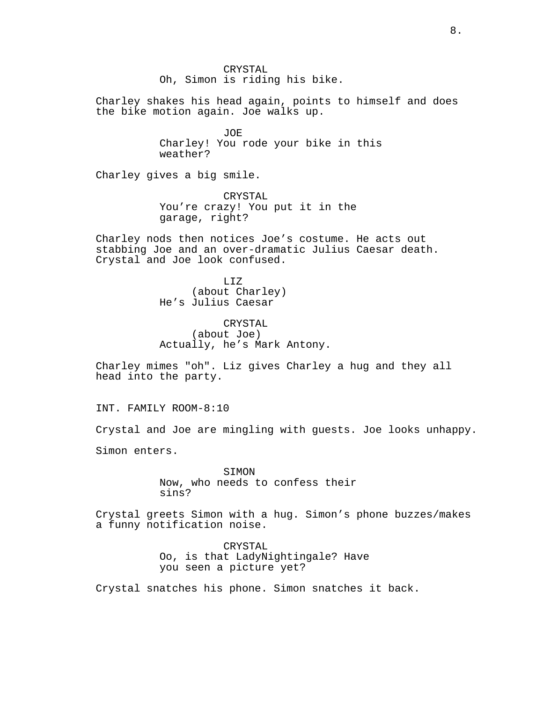CRYSTAL Oh, Simon is riding his bike.

Charley shakes his head again, points to himself and does the bike motion again. Joe walks up.

> JOE Charley! You rode your bike in this weather?

Charley gives a big smile.

CRYSTAL You're crazy! You put it in the garage, right?

Charley nods then notices Joe's costume. He acts out stabbing Joe and an over-dramatic Julius Caesar death. Crystal and Joe look confused.

> LIZ (about Charley) He's Julius Caesar

CRYSTAL (about Joe) Actually, he's Mark Antony.

Charley mimes "oh". Liz gives Charley a hug and they all head into the party.

INT. FAMILY ROOM-8:10

Crystal and Joe are mingling with guests. Joe looks unhappy.

Simon enters.

SIMON Now, who needs to confess their sins?

Crystal greets Simon with a hug. Simon's phone buzzes/makes a funny notification noise.

> CRYSTAL Oo, is that LadyNightingale? Have you seen a picture yet?

Crystal snatches his phone. Simon snatches it back.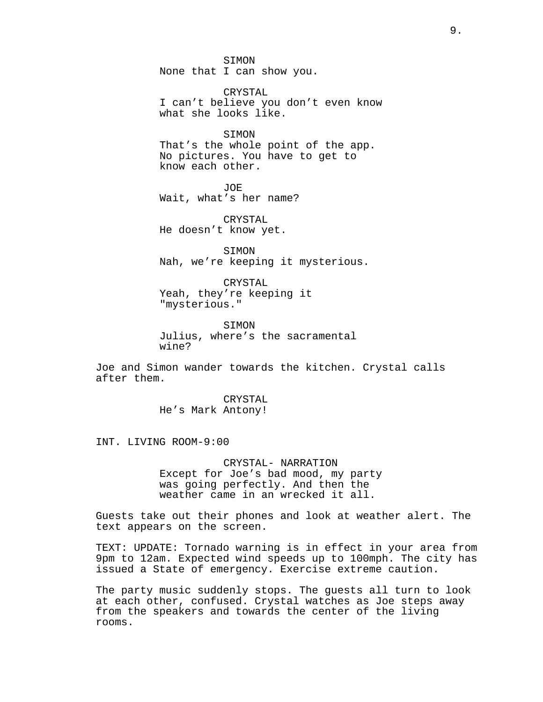SIMON None that I can show you.

CRYSTAL I can't believe you don't even know what she looks like.

SIMON That's the whole point of the app. No pictures. You have to get to know each other.

JOE Wait, what's her name?

CRYSTAL He doesn't know yet.

SIMON Nah, we're keeping it mysterious.

CRYSTAL Yeah, they're keeping it "mysterious."

SIMON Julius, where's the sacramental wine?

Joe and Simon wander towards the kitchen. Crystal calls after them.

> CRYSTAL He's Mark Antony!

INT. LIVING ROOM-9:00

CRYSTAL- NARRATION Except for Joe's bad mood, my party was going perfectly. And then the weather came in an wrecked it all.

Guests take out their phones and look at weather alert. The text appears on the screen.

TEXT: UPDATE: Tornado warning is in effect in your area from 9pm to 12am. Expected wind speeds up to 100mph. The city has issued a State of emergency. Exercise extreme caution.

The party music suddenly stops. The guests all turn to look at each other, confused. Crystal watches as Joe steps away from the speakers and towards the center of the living rooms.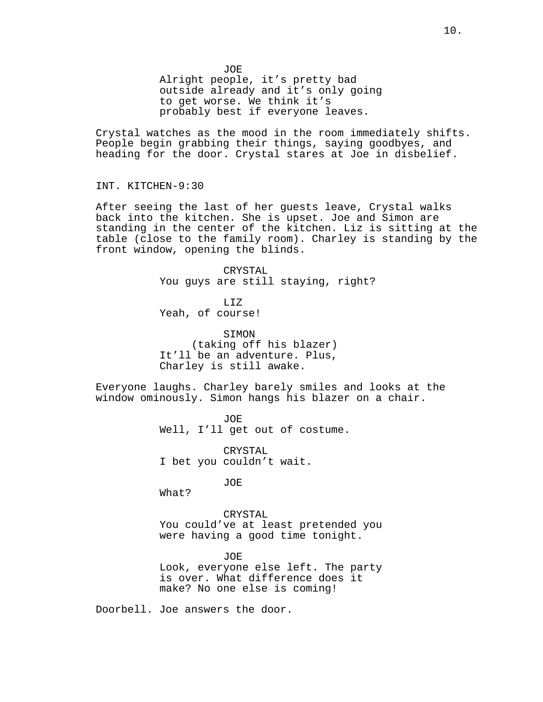Alright people, it's pretty bad outside already and it's only going to get worse. We think it's probably best if everyone leaves.

Crystal watches as the mood in the room immediately shifts. People begin grabbing their things, saying goodbyes, and heading for the door. Crystal stares at Joe in disbelief.

INT. KITCHEN-9:30

After seeing the last of her guests leave, Crystal walks back into the kitchen. She is upset. Joe and Simon are standing in the center of the kitchen. Liz is sitting at the table (close to the family room). Charley is standing by the front window, opening the blinds.

> CRYSTAL You guys are still staying, right?

LIZ Yeah, of course!

SIMON (taking off his blazer) It'll be an adventure. Plus, Charley is still awake.

Everyone laughs. Charley barely smiles and looks at the window ominously. Simon hangs his blazer on a chair.

> JOE Well, I'll get out of costume.

CRYSTAL I bet you couldn't wait.

JOE

What?

CRYSTAL You could've at least pretended you were having a good time tonight.

JOE Look, everyone else left. The party is over. What difference does it make? No one else is coming!

Doorbell. Joe answers the door.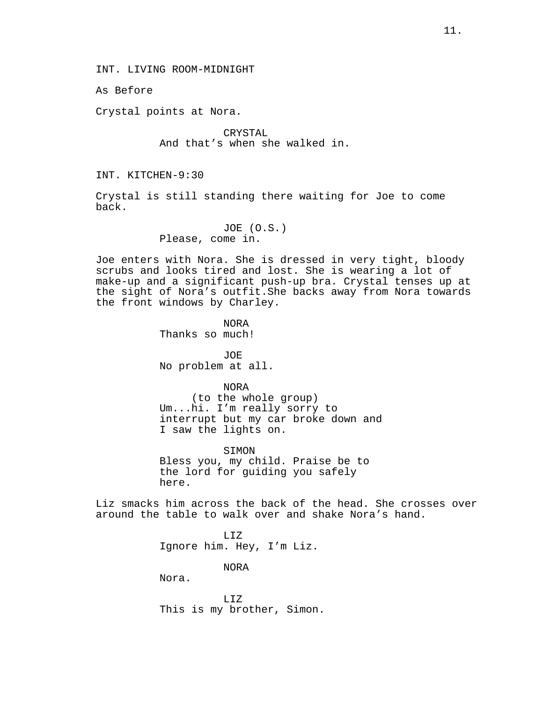INT. LIVING ROOM-MIDNIGHT

As Before

Crystal points at Nora.

CRYSTAL And that's when she walked in.

INT. KITCHEN-9:30

Crystal is still standing there waiting for Joe to come back.

> JOE (O.S.) Please, come in.

Joe enters with Nora. She is dressed in very tight, bloody scrubs and looks tired and lost. She is wearing a lot of make-up and a significant push-up bra. Crystal tenses up at the sight of Nora's outfit.She backs away from Nora towards the front windows by Charley.

> NORA Thanks so much!

JOE No problem at all.

NORA

(to the whole group) Um...hi. I'm really sorry to interrupt but my car broke down and I saw the lights on.

SIMON Bless you, my child. Praise be to the lord for guiding you safely here.

Liz smacks him across the back of the head. She crosses over around the table to walk over and shake Nora's hand.

> LIZ Ignore him. Hey, I'm Liz.

> > NORA

Nora.

LIZ This is my brother, Simon.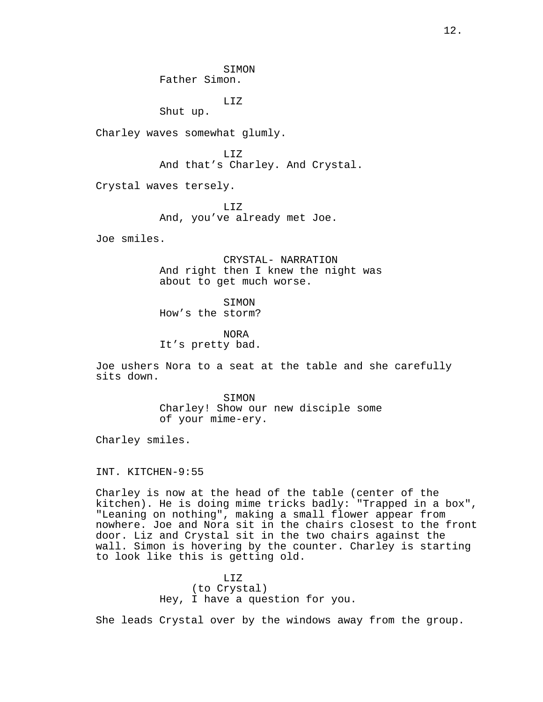SIMON Father Simon.

LIZ

Shut up.

Charley waves somewhat glumly.

LIZ And that's Charley. And Crystal.

Crystal waves tersely.

LIZ And, you've already met Joe.

Joe smiles.

CRYSTAL- NARRATION And right then I knew the night was about to get much worse.

SIMON How's the storm?

NORA It's pretty bad.

Joe ushers Nora to a seat at the table and she carefully sits down.

> SIMON Charley! Show our new disciple some of your mime-ery.

Charley smiles.

INT. KITCHEN-9:55

Charley is now at the head of the table (center of the kitchen). He is doing mime tricks badly: "Trapped in a box", "Leaning on nothing", making a small flower appear from nowhere. Joe and Nora sit in the chairs closest to the front door. Liz and Crystal sit in the two chairs against the wall. Simon is hovering by the counter. Charley is starting to look like this is getting old.

> LIZ (to Crystal) Hey, I have a question for you.

She leads Crystal over by the windows away from the group.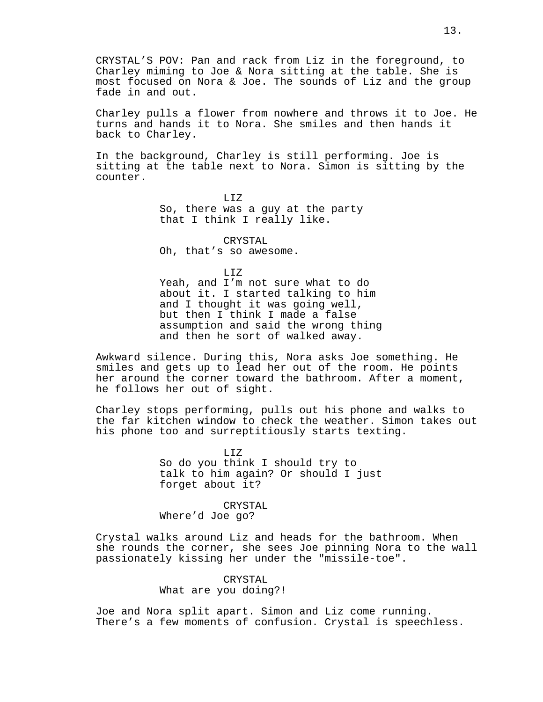CRYSTAL'S POV: Pan and rack from Liz in the foreground, to Charley miming to Joe & Nora sitting at the table. She is most focused on Nora & Joe. The sounds of Liz and the group fade in and out.

Charley pulls a flower from nowhere and throws it to Joe. He turns and hands it to Nora. She smiles and then hands it back to Charley.

In the background, Charley is still performing. Joe is sitting at the table next to Nora. Simon is sitting by the counter.

> LIZ So, there was a guy at the party that I think I really like.

CRYSTAL Oh, that's so awesome.

LIZ

Yeah, and I'm not sure what to do about it. I started talking to him and I thought it was going well, but then I think I made a false assumption and said the wrong thing and then he sort of walked away.

Awkward silence. During this, Nora asks Joe something. He smiles and gets up to lead her out of the room. He points her around the corner toward the bathroom. After a moment, he follows her out of sight.

Charley stops performing, pulls out his phone and walks to the far kitchen window to check the weather. Simon takes out his phone too and surreptitiously starts texting.

> LIZ So do you think I should try to talk to him again? Or should I just forget about it?

CRYSTAL Where'd Joe go?

Crystal walks around Liz and heads for the bathroom. When she rounds the corner, she sees Joe pinning Nora to the wall passionately kissing her under the "missile-toe".

# CRYSTAL What are you doing?!

Joe and Nora split apart. Simon and Liz come running. There's a few moments of confusion. Crystal is speechless.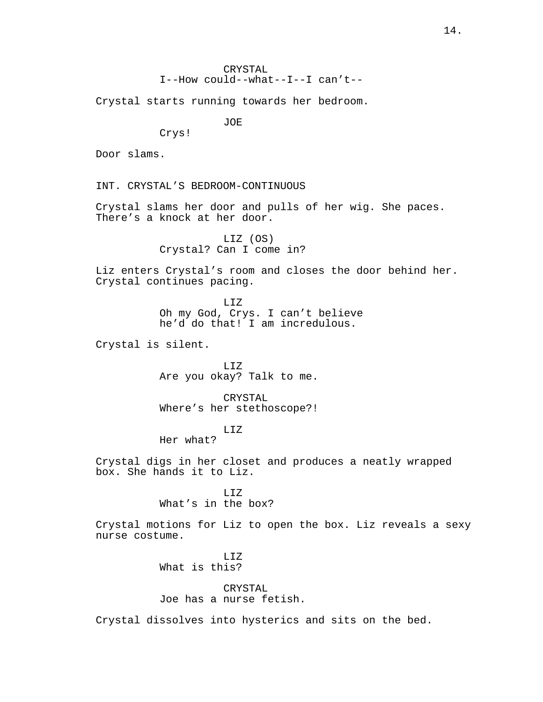Crystal starts running towards her bedroom.

JOE

Crys!

Door slams.

INT. CRYSTAL'S BEDROOM-CONTINUOUS

Crystal slams her door and pulls of her wig. She paces. There's a knock at her door.

> LIZ (OS) Crystal? Can I come in?

Liz enters Crystal's room and closes the door behind her. Crystal continues pacing.

> LIZ Oh my God, Crys. I can't believe he'd do that! I am incredulous.

Crystal is silent.

LIZ Are you okay? Talk to me.

CRYSTAL Where's her stethoscope?!

LIZ

Her what?

Crystal digs in her closet and produces a neatly wrapped box. She hands it to Liz.

> LIZ What's in the box?

Crystal motions for Liz to open the box. Liz reveals a sexy nurse costume.

> LIZ What is this?

> > CRYSTAL

Joe has a nurse fetish.

Crystal dissolves into hysterics and sits on the bed.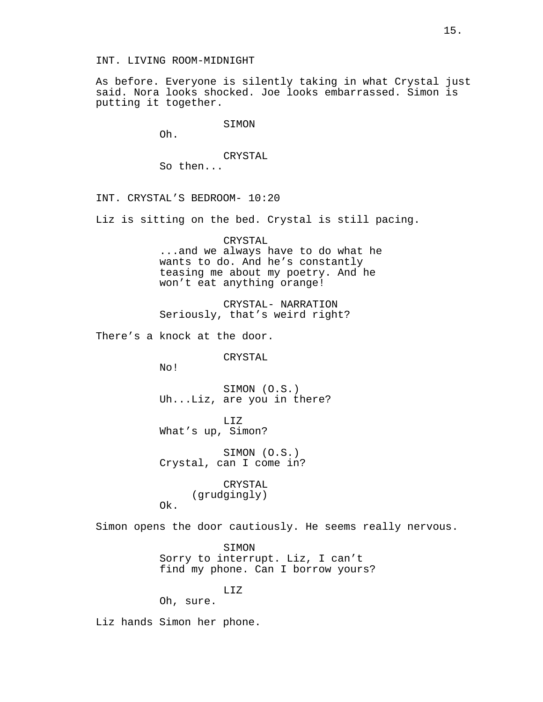### INT. LIVING ROOM-MIDNIGHT

As before. Everyone is silently taking in what Crystal just said. Nora looks shocked. Joe looks embarrassed. Simon is putting it together.

#### SIMON

Oh.

# CRYSTAL So then...

INT. CRYSTAL'S BEDROOM- 10:20

Liz is sitting on the bed. Crystal is still pacing.

# CRYSTAL ...and we always have to do what he wants to do. And he's constantly teasing me about my poetry. And he won't eat anything orange!

CRYSTAL- NARRATION Seriously, that's weird right?

There's a knock at the door.

CRYSTAL

No!

Ok.

SIMON (O.S.) Uh...Liz, are you in there?

LIZ What's up, Simon?

SIMON (O.S.) Crystal, can I come in?

> CRYSTAL (grudgingly)

Simon opens the door cautiously. He seems really nervous.

SIMON Sorry to interrupt. Liz, I can't find my phone. Can I borrow yours?

LIZ

Oh, sure.

Liz hands Simon her phone.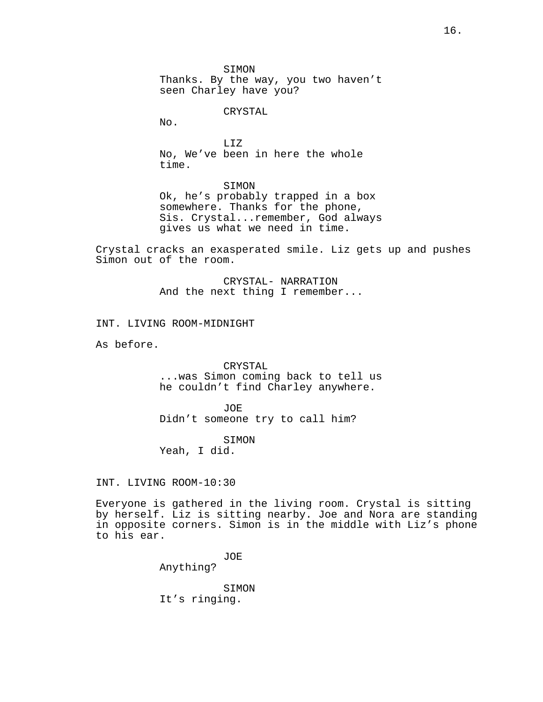SIMON Thanks. By the way, you two haven't seen Charley have you?

CRYSTAL

No.

LIZ No, We've been in here the whole time.

SIMON

Ok, he's probably trapped in a box somewhere. Thanks for the phone, Sis. Crystal...remember, God always gives us what we need in time.

Crystal cracks an exasperated smile. Liz gets up and pushes Simon out of the room.

> CRYSTAL- NARRATION And the next thing I remember...

INT. LIVING ROOM-MIDNIGHT

As before.

CRYSTAL ...was Simon coming back to tell us he couldn't find Charley anywhere.

JOE Didn't someone try to call him?

SIMON Yeah, I did.

INT. LIVING ROOM-10:30

Everyone is gathered in the living room. Crystal is sitting by herself. Liz is sitting nearby. Joe and Nora are standing in opposite corners. Simon is in the middle with Liz's phone to his ear.

> JOE Anything?

SIMON It's ringing.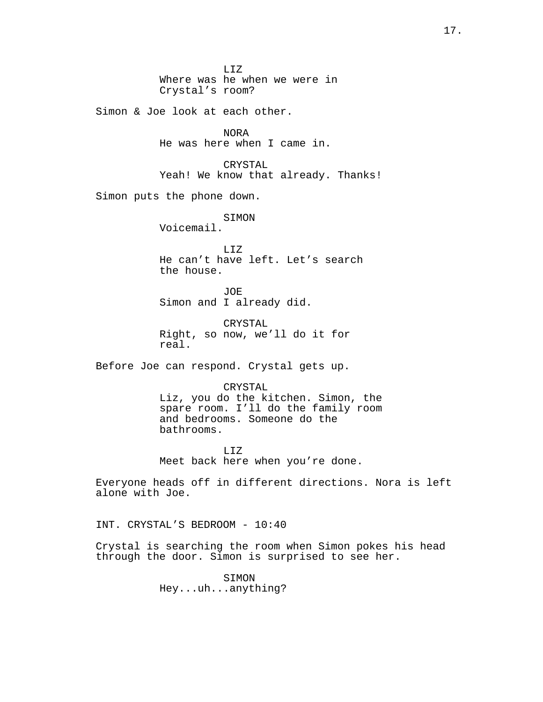LIZ Where was he when we were in Crystal's room?

Simon & Joe look at each other.

NORA He was here when I came in.

CRYSTAL Yeah! We know that already. Thanks!

Simon puts the phone down.

SIMON

Voicemail.

LIZ He can't have left. Let's search the house.

JOE Simon and I already did.

CRYSTAL Right, so now, we'll do it for real.

Before Joe can respond. Crystal gets up.

### CRYSTAL

Liz, you do the kitchen. Simon, the spare room. I'll do the family room and bedrooms. Someone do the bathrooms.

LIZ Meet back here when you're done.

Everyone heads off in different directions. Nora is left alone with Joe.

INT. CRYSTAL'S BEDROOM - 10:40

Crystal is searching the room when Simon pokes his head through the door. Simon is surprised to see her.

> SIMON Hey...uh...anything?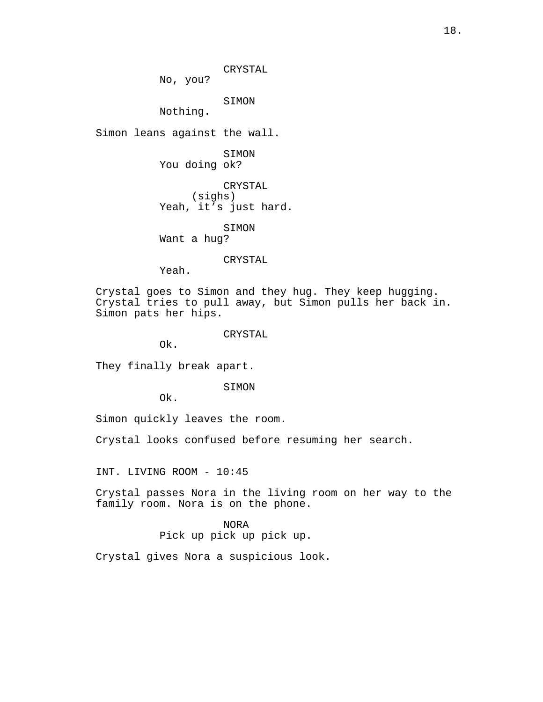CRYSTAL

No, you?

SIMON

Nothing.

Simon leans against the wall.

SIMON You doing ok?

CRYSTAL (sighs) Yeah, it's just hard.

SIMON Want a hug?

### CRYSTAL

Yeah.

Crystal goes to Simon and they hug. They keep hugging. Crystal tries to pull away, but Simon pulls her back in. Simon pats her hips.

### CRYSTAL

Ok.

They finally break apart.

SIMON

Ok.

Simon quickly leaves the room.

Crystal looks confused before resuming her search.

INT. LIVING ROOM - 10:45

Crystal passes Nora in the living room on her way to the family room. Nora is on the phone.

> NORA Pick up pick up pick up.

Crystal gives Nora a suspicious look.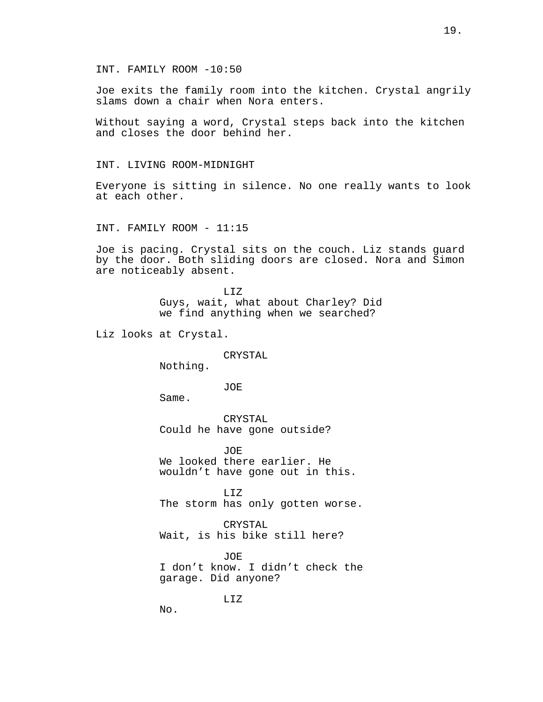Joe exits the family room into the kitchen. Crystal angrily slams down a chair when Nora enters.

Without saying a word, Crystal steps back into the kitchen and closes the door behind her.

### INT. LIVING ROOM-MIDNIGHT

Everyone is sitting in silence. No one really wants to look at each other.

INT. FAMILY ROOM - 11:15

Joe is pacing. Crystal sits on the couch. Liz stands guard by the door. Both sliding doors are closed. Nora and Simon are noticeably absent.

> LIZ Guys, wait, what about Charley? Did we find anything when we searched?

Liz looks at Crystal.

# CRYSTAL

Nothing.

JOE

Same.

CRYSTAL Could he have gone outside?

JOE We looked there earlier. He wouldn't have gone out in this.

LIZ The storm has only gotten worse.

CRYSTAL Wait, is his bike still here?

JOE I don't know. I didn't check the garage. Did anyone?

LIZ

No.